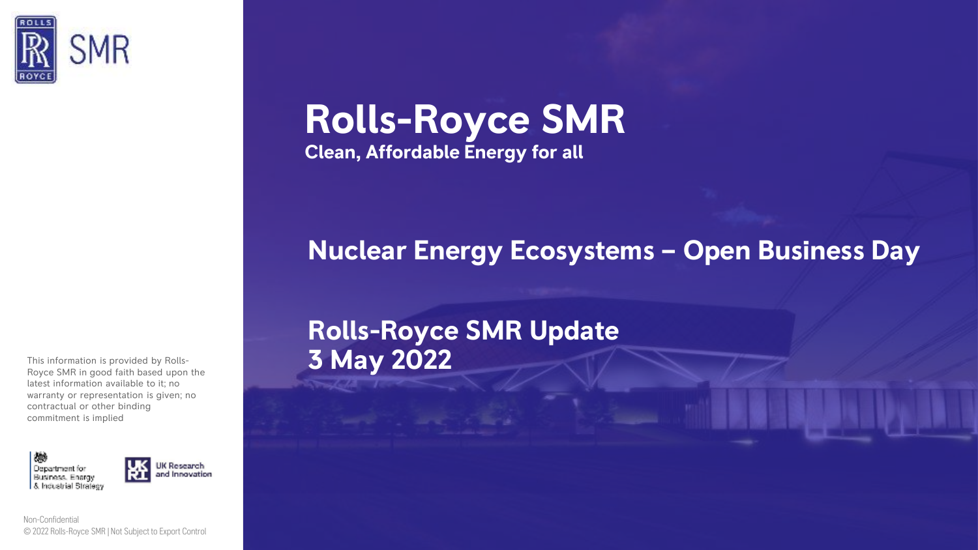

This information is provided by Rolls-Royce SMR in good faith based upon the latest information available to it; no warranty or representation is given; no contractual or other binding commitment is implied



**1** Non-Confidential © 2022 Rolls-Royce SMR | Not Subject to Export Control

# **Rolls-Royce SMR Clean, Affordable Energy for all**

## **Nuclear Energy Ecosystems – Open Business Day**

# **Rolls-Royce SMR Update 3 May 2022**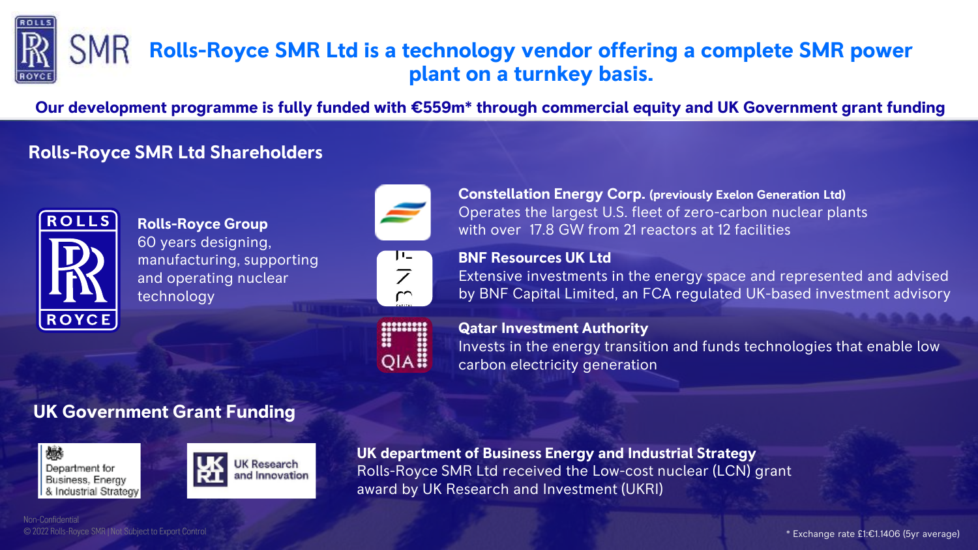

#### **SMR Rolls-Royce SMR Ltd is a technology vendor offering a complete SMR power plant on a turnkey basis.**

**Our development programme is fully funded with €559m\* through commercial equity and UK Government grant funding**

### **Rolls-Royce SMR Ltd Shareholders**



**Rolls-Royce Group** 60 years designing, manufacturing, supporting and operating nuclear technology





**Constellation Energy Corp. (previously Exelon Generation Ltd)** Operates the largest U.S. fleet of zero-carbon nuclear plants with over 17.8 GW from 21 reactors at 12 facilities

#### **BNF Resources UK Ltd**

Extensive investments in the energy space and represented and advised by BNF Capital Limited, an FCA regulated UK-based investment advisory



**Qatar Investment Authority** 

Invests in the energy transition and funds technologies that enable low carbon electricity generation

## **UK Government Grant Funding**





**UK department of Business Energy and Industrial Strategy** Rolls-Royce SMR Ltd received the Low-cost nuclear (LCN) grant award by UK Research and Investment (UKRI)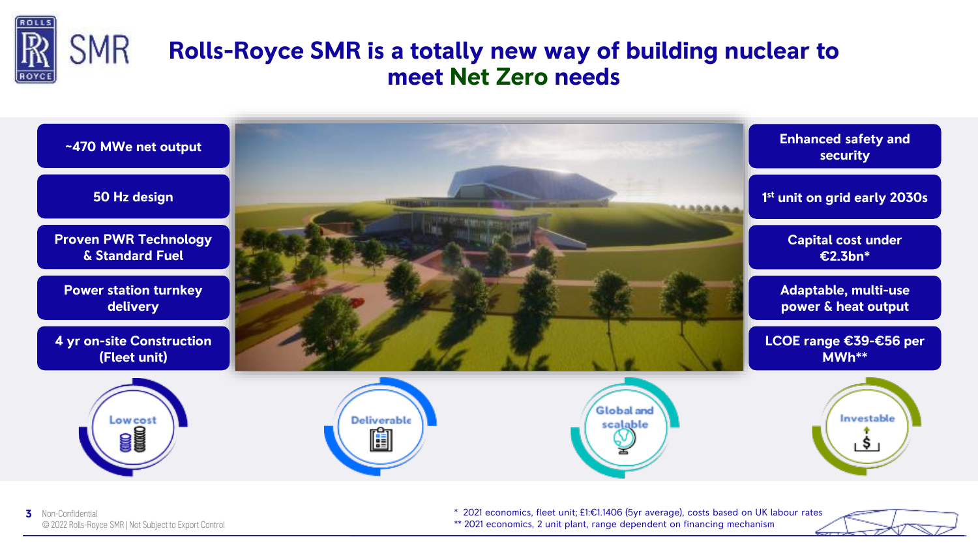

## **Rolls-Royce SMR is a totally new way of building nuclear to meet Net Zero needs**



\* 2021 economics, fleet unit; £1:€1.1406 (5yr average), costs based on UK labour rates \*\* 2021 economics, 2 unit plant, range dependent on financing mechanism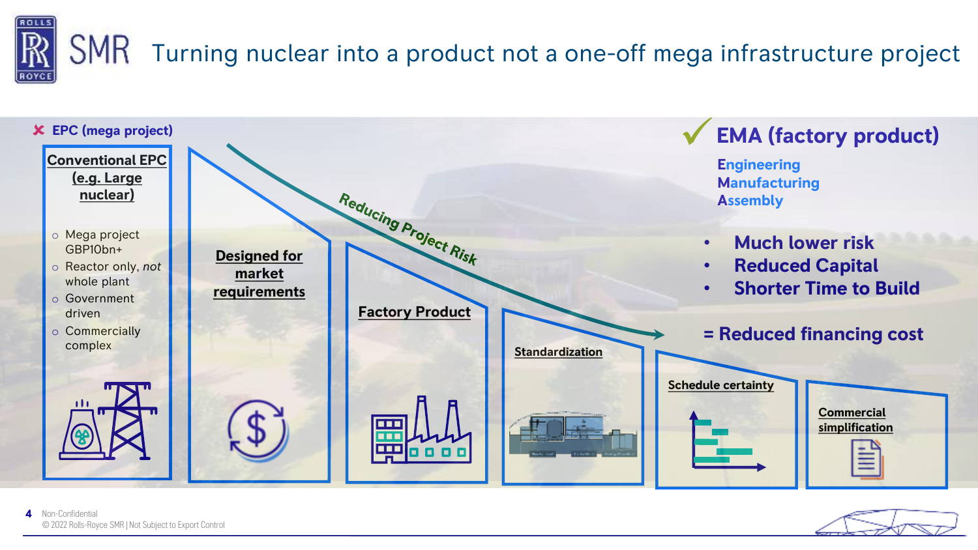



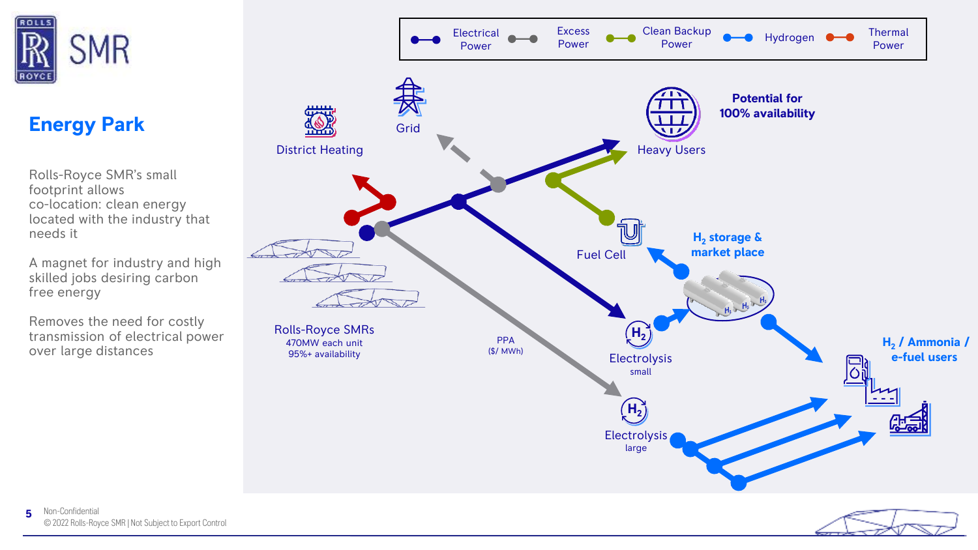

## **Energy Park**

Rolls-Royce SMR's small footprint allows co-location: clean energy located with the industry that needs it

A magnet for industry and high skilled jobs desiring carbon free energy

Removes the need for costly transmission of electrical power over large distances

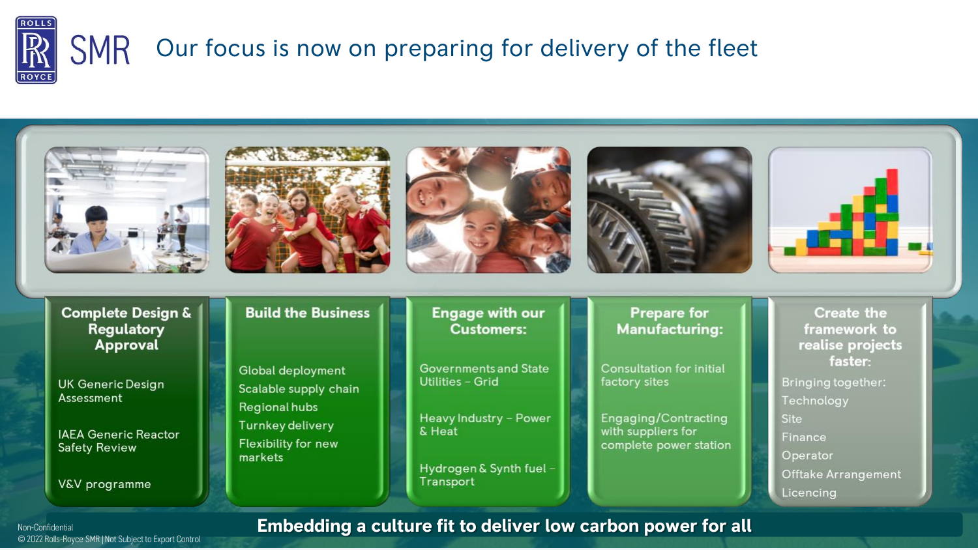



© 2022 Rolls-Royce SMR | Not Subject to Export Control

#### **Non-Confidential <b>Embedding a culture fit to deliver low carbon power for all**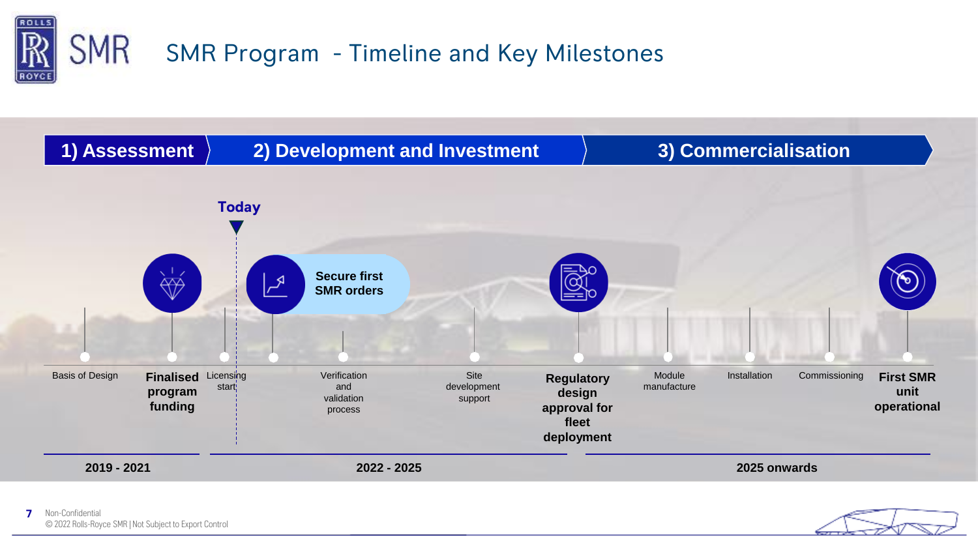